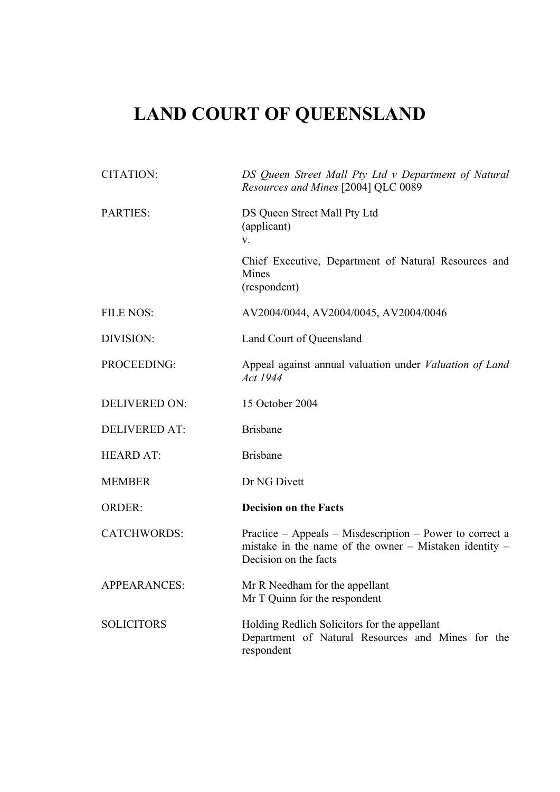# **LAND COURT OF QUEENSLAND**

| <b>CITATION:</b>     | DS Queen Street Mall Pty Ltd v Department of Natural<br>Resources and Mines [2004] QLC 0089                                                     |
|----------------------|-------------------------------------------------------------------------------------------------------------------------------------------------|
| PARTIES:             | DS Queen Street Mall Pty Ltd<br>(applicant)<br>V.                                                                                               |
|                      | Chief Executive, Department of Natural Resources and<br>Mines<br>(respondent)                                                                   |
| <b>FILE NOS:</b>     | AV2004/0044, AV2004/0045, AV2004/0046                                                                                                           |
| DIVISION:            | Land Court of Queensland                                                                                                                        |
| PROCEEDING:          | Appeal against annual valuation under Valuation of Land<br>Act 1944                                                                             |
| <b>DELIVERED ON:</b> | 15 October 2004                                                                                                                                 |
| <b>DELIVERED AT:</b> | <b>Brisbane</b>                                                                                                                                 |
| <b>HEARD AT:</b>     | <b>Brisbane</b>                                                                                                                                 |
| <b>MEMBER</b>        | Dr NG Divett                                                                                                                                    |
| <b>ORDER:</b>        | <b>Decision on the Facts</b>                                                                                                                    |
| <b>CATCHWORDS:</b>   | Practice – Appeals – Misdescription – Power to correct a<br>mistake in the name of the owner $-$ Mistaken identity $-$<br>Decision on the facts |
| <b>APPEARANCES:</b>  | Mr R Needham for the appellant<br>Mr T Quinn for the respondent                                                                                 |
| <b>SOLICITORS</b>    | Holding Redlich Solicitors for the appellant<br>Department of Natural Resources and Mines for the<br>respondent                                 |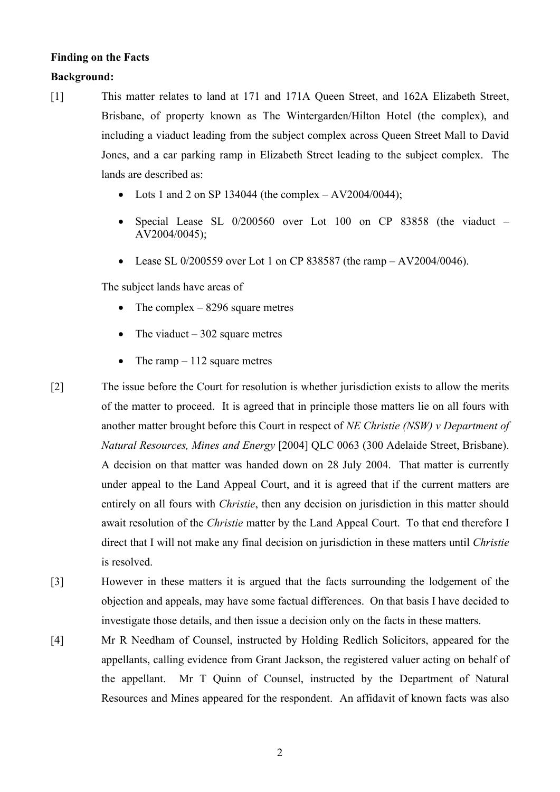## **Finding on the Facts**

### **Background:**

- [1] This matter relates to land at 171 and 171A Queen Street, and 162A Elizabeth Street, Brisbane, of property known as The Wintergarden/Hilton Hotel (the complex), and including a viaduct leading from the subject complex across Queen Street Mall to David Jones, and a car parking ramp in Elizabeth Street leading to the subject complex. The lands are described as:
	- Lots 1 and 2 on SP 134044 (the complex  $-$  AV2004/0044);
	- Special Lease SL 0/200560 over Lot 100 on CP 83858 (the viaduct AV2004/0045);
	- Lease SL 0/200559 over Lot 1 on CP 838587 (the ramp  $-$  AV2004/0046).

The subject lands have areas of

- The complex  $-8296$  square metres
- The viaduct  $-302$  square metres
- The ramp  $-112$  square metres
- [2] The issue before the Court for resolution is whether jurisdiction exists to allow the merits of the matter to proceed. It is agreed that in principle those matters lie on all fours with another matter brought before this Court in respect of *NE Christie (NSW) v Department of Natural Resources, Mines and Energy* [2004] QLC 0063 (300 Adelaide Street, Brisbane). A decision on that matter was handed down on 28 July 2004. That matter is currently under appeal to the Land Appeal Court, and it is agreed that if the current matters are entirely on all fours with *Christie*, then any decision on jurisdiction in this matter should await resolution of the *Christie* matter by the Land Appeal Court. To that end therefore I direct that I will not make any final decision on jurisdiction in these matters until *Christie* is resolved.
- [3] However in these matters it is argued that the facts surrounding the lodgement of the objection and appeals, may have some factual differences. On that basis I have decided to investigate those details, and then issue a decision only on the facts in these matters.
- [4] Mr R Needham of Counsel, instructed by Holding Redlich Solicitors, appeared for the appellants, calling evidence from Grant Jackson, the registered valuer acting on behalf of the appellant. Mr T Quinn of Counsel, instructed by the Department of Natural Resources and Mines appeared for the respondent. An affidavit of known facts was also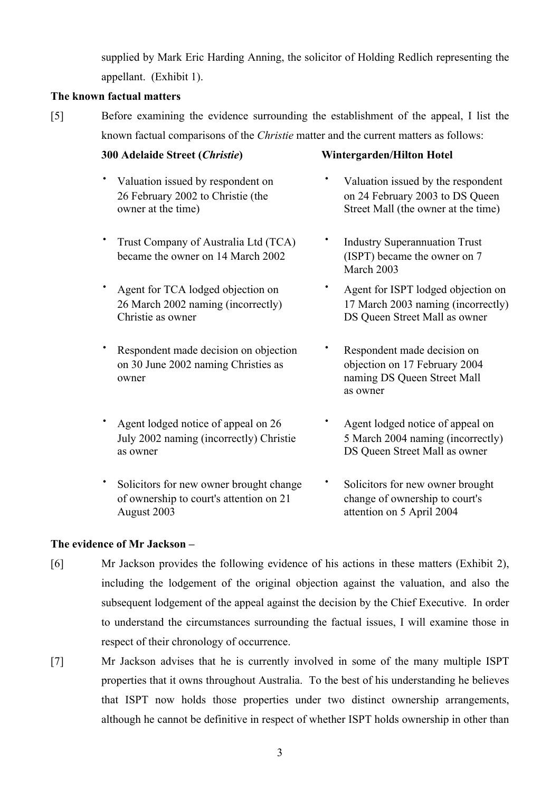supplied by Mark Eric Harding Anning, the solicitor of Holding Redlich representing the appellant. (Exhibit 1).

#### **The known factual matters**

[5] Before examining the evidence surrounding the establishment of the appeal, I list the known factual comparisons of the *Christie* matter and the current matters as follows:

#### **300 Adelaide Street (***Christie***) Wintergarden/Hilton Hotel**

- 
- **·** Trust Company of Australia Ltd (TCA) **·** Industry Superannuation Trust became the owner on 14 March 2002 (ISPT) became the owner on 7
- $26$  March 2002 naming (incorrectly) Christie as owner DS Queen Street Mall as owner
- **·** Respondent made decision on objection **·** Respondent made decision on on 30 June 2002 naming Christies as objection on 17 February 2004 owner naming DS Queen Street Mall
- **·** Agent lodged notice of appeal on 26 **·** Agent lodged notice of appeal on as owner DS Queen Street Mall as owner
- **·** Solicitors for new owner brought change **·** Solicitors for new owner brought of ownership to court's attention on 21 change of ownership to court's August 2003 attention on 5 April 2004

- **·** Valuation issued by respondent on **·** Valuation issued by the respondent 26 February 2002 to Christie (the on 24 February 2003 to DS Queen owner at the time) Street Mall (the owner at the time)
	- March 2003
- **agent for TCA lodged objection on**<br> **• Agent for ISPT lodged objection on**<br> **17 March 2003 naming (incorrectly)** 
	- as owner
- July 2002 naming (incorrectly) Christie 5 March 2004 naming (incorrectly)
	-

#### **The evidence of Mr Jackson –**

- [6] Mr Jackson provides the following evidence of his actions in these matters (Exhibit 2), including the lodgement of the original objection against the valuation, and also the subsequent lodgement of the appeal against the decision by the Chief Executive. In order to understand the circumstances surrounding the factual issues, I will examine those in respect of their chronology of occurrence.
- [7] Mr Jackson advises that he is currently involved in some of the many multiple ISPT properties that it owns throughout Australia. To the best of his understanding he believes that ISPT now holds those properties under two distinct ownership arrangements, although he cannot be definitive in respect of whether ISPT holds ownership in other than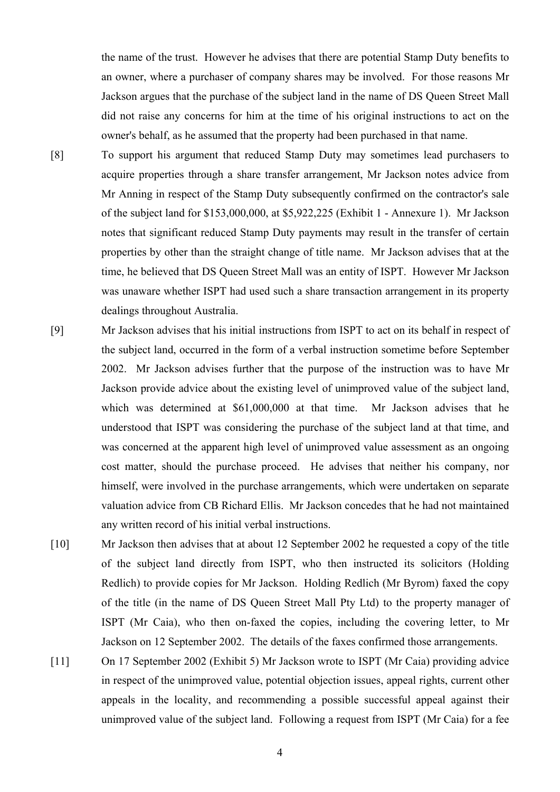the name of the trust. However he advises that there are potential Stamp Duty benefits to an owner, where a purchaser of company shares may be involved. For those reasons Mr Jackson argues that the purchase of the subject land in the name of DS Queen Street Mall did not raise any concerns for him at the time of his original instructions to act on the owner's behalf, as he assumed that the property had been purchased in that name.

- [8] To support his argument that reduced Stamp Duty may sometimes lead purchasers to acquire properties through a share transfer arrangement, Mr Jackson notes advice from Mr Anning in respect of the Stamp Duty subsequently confirmed on the contractor's sale of the subject land for \$153,000,000, at \$5,922,225 (Exhibit 1 - Annexure 1). Mr Jackson notes that significant reduced Stamp Duty payments may result in the transfer of certain properties by other than the straight change of title name. Mr Jackson advises that at the time, he believed that DS Queen Street Mall was an entity of ISPT. However Mr Jackson was unaware whether ISPT had used such a share transaction arrangement in its property dealings throughout Australia.
- [9] Mr Jackson advises that his initial instructions from ISPT to act on its behalf in respect of the subject land, occurred in the form of a verbal instruction sometime before September 2002. Mr Jackson advises further that the purpose of the instruction was to have Mr Jackson provide advice about the existing level of unimproved value of the subject land, which was determined at \$61,000,000 at that time. Mr Jackson advises that he understood that ISPT was considering the purchase of the subject land at that time, and was concerned at the apparent high level of unimproved value assessment as an ongoing cost matter, should the purchase proceed. He advises that neither his company, nor himself, were involved in the purchase arrangements, which were undertaken on separate valuation advice from CB Richard Ellis. Mr Jackson concedes that he had not maintained any written record of his initial verbal instructions.
- [10] Mr Jackson then advises that at about 12 September 2002 he requested a copy of the title of the subject land directly from ISPT, who then instructed its solicitors (Holding Redlich) to provide copies for Mr Jackson. Holding Redlich (Mr Byrom) faxed the copy of the title (in the name of DS Queen Street Mall Pty Ltd) to the property manager of ISPT (Mr Caia), who then on-faxed the copies, including the covering letter, to Mr Jackson on 12 September 2002. The details of the faxes confirmed those arrangements.
- [11] On 17 September 2002 (Exhibit 5) Mr Jackson wrote to ISPT (Mr Caia) providing advice in respect of the unimproved value, potential objection issues, appeal rights, current other appeals in the locality, and recommending a possible successful appeal against their unimproved value of the subject land. Following a request from ISPT (Mr Caia) for a fee

4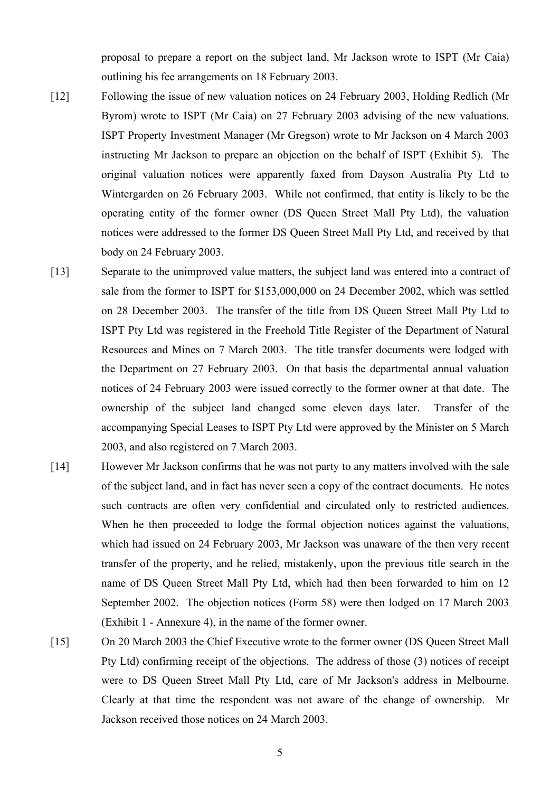proposal to prepare a report on the subject land, Mr Jackson wrote to ISPT (Mr Caia) outlining his fee arrangements on 18 February 2003.

- [12] Following the issue of new valuation notices on 24 February 2003, Holding Redlich (Mr Byrom) wrote to ISPT (Mr Caia) on 27 February 2003 advising of the new valuations. ISPT Property Investment Manager (Mr Gregson) wrote to Mr Jackson on 4 March 2003 instructing Mr Jackson to prepare an objection on the behalf of ISPT (Exhibit 5). The original valuation notices were apparently faxed from Dayson Australia Pty Ltd to Wintergarden on 26 February 2003. While not confirmed, that entity is likely to be the operating entity of the former owner (DS Queen Street Mall Pty Ltd), the valuation notices were addressed to the former DS Queen Street Mall Pty Ltd, and received by that body on 24 February 2003.
- [13] Separate to the unimproved value matters, the subject land was entered into a contract of sale from the former to ISPT for \$153,000,000 on 24 December 2002, which was settled on 28 December 2003. The transfer of the title from DS Queen Street Mall Pty Ltd to ISPT Pty Ltd was registered in the Freehold Title Register of the Department of Natural Resources and Mines on 7 March 2003. The title transfer documents were lodged with the Department on 27 February 2003. On that basis the departmental annual valuation notices of 24 February 2003 were issued correctly to the former owner at that date. The ownership of the subject land changed some eleven days later. Transfer of the accompanying Special Leases to ISPT Pty Ltd were approved by the Minister on 5 March 2003, and also registered on 7 March 2003.
- [14] However Mr Jackson confirms that he was not party to any matters involved with the sale of the subject land, and in fact has never seen a copy of the contract documents. He notes such contracts are often very confidential and circulated only to restricted audiences. When he then proceeded to lodge the formal objection notices against the valuations, which had issued on 24 February 2003, Mr Jackson was unaware of the then very recent transfer of the property, and he relied, mistakenly, upon the previous title search in the name of DS Queen Street Mall Pty Ltd, which had then been forwarded to him on 12 September 2002. The objection notices (Form 58) were then lodged on 17 March 2003 (Exhibit 1 - Annexure 4), in the name of the former owner.
- [15] On 20 March 2003 the Chief Executive wrote to the former owner (DS Queen Street Mall Pty Ltd) confirming receipt of the objections. The address of those (3) notices of receipt were to DS Queen Street Mall Pty Ltd, care of Mr Jackson's address in Melbourne. Clearly at that time the respondent was not aware of the change of ownership. Mr Jackson received those notices on 24 March 2003.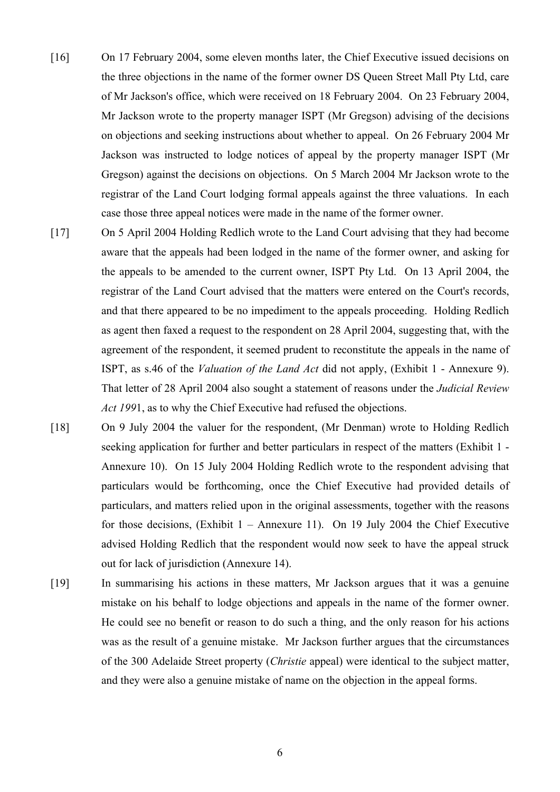- [16] On 17 February 2004, some eleven months later, the Chief Executive issued decisions on the three objections in the name of the former owner DS Queen Street Mall Pty Ltd, care of Mr Jackson's office, which were received on 18 February 2004. On 23 February 2004, Mr Jackson wrote to the property manager ISPT (Mr Gregson) advising of the decisions on objections and seeking instructions about whether to appeal. On 26 February 2004 Mr Jackson was instructed to lodge notices of appeal by the property manager ISPT (Mr Gregson) against the decisions on objections. On 5 March 2004 Mr Jackson wrote to the registrar of the Land Court lodging formal appeals against the three valuations. In each case those three appeal notices were made in the name of the former owner.
- [17] On 5 April 2004 Holding Redlich wrote to the Land Court advising that they had become aware that the appeals had been lodged in the name of the former owner, and asking for the appeals to be amended to the current owner, ISPT Pty Ltd. On 13 April 2004, the registrar of the Land Court advised that the matters were entered on the Court's records, and that there appeared to be no impediment to the appeals proceeding. Holding Redlich as agent then faxed a request to the respondent on 28 April 2004, suggesting that, with the agreement of the respondent, it seemed prudent to reconstitute the appeals in the name of ISPT, as s.46 of the *Valuation of the Land Act* did not apply, (Exhibit 1 - Annexure 9). That letter of 28 April 2004 also sought a statement of reasons under the *Judicial Review Act 199*1, as to why the Chief Executive had refused the objections.
- [18] On 9 July 2004 the valuer for the respondent, (Mr Denman) wrote to Holding Redlich seeking application for further and better particulars in respect of the matters (Exhibit 1 - Annexure 10). On 15 July 2004 Holding Redlich wrote to the respondent advising that particulars would be forthcoming, once the Chief Executive had provided details of particulars, and matters relied upon in the original assessments, together with the reasons for those decisions, (Exhibit  $1 -$  Annexure 11). On 19 July 2004 the Chief Executive advised Holding Redlich that the respondent would now seek to have the appeal struck out for lack of jurisdiction (Annexure 14).
- [19] In summarising his actions in these matters, Mr Jackson argues that it was a genuine mistake on his behalf to lodge objections and appeals in the name of the former owner. He could see no benefit or reason to do such a thing, and the only reason for his actions was as the result of a genuine mistake. Mr Jackson further argues that the circumstances of the 300 Adelaide Street property (*Christie* appeal) were identical to the subject matter, and they were also a genuine mistake of name on the objection in the appeal forms.

6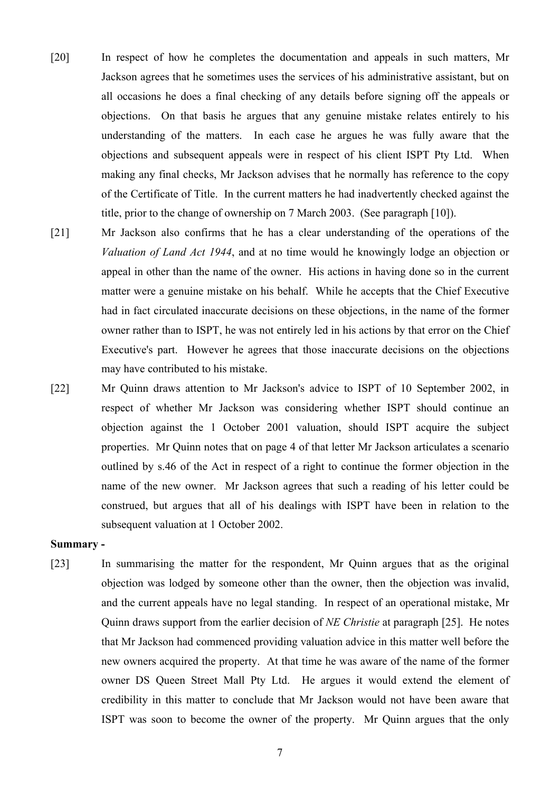- [20] In respect of how he completes the documentation and appeals in such matters, Mr Jackson agrees that he sometimes uses the services of his administrative assistant, but on all occasions he does a final checking of any details before signing off the appeals or objections. On that basis he argues that any genuine mistake relates entirely to his understanding of the matters. In each case he argues he was fully aware that the objections and subsequent appeals were in respect of his client ISPT Pty Ltd. When making any final checks, Mr Jackson advises that he normally has reference to the copy of the Certificate of Title. In the current matters he had inadvertently checked against the title, prior to the change of ownership on 7 March 2003. (See paragraph [10]).
- [21] Mr Jackson also confirms that he has a clear understanding of the operations of the *Valuation of Land Act 1944*, and at no time would he knowingly lodge an objection or appeal in other than the name of the owner. His actions in having done so in the current matter were a genuine mistake on his behalf. While he accepts that the Chief Executive had in fact circulated inaccurate decisions on these objections, in the name of the former owner rather than to ISPT, he was not entirely led in his actions by that error on the Chief Executive's part. However he agrees that those inaccurate decisions on the objections may have contributed to his mistake.
- [22] Mr Quinn draws attention to Mr Jackson's advice to ISPT of 10 September 2002, in respect of whether Mr Jackson was considering whether ISPT should continue an objection against the 1 October 2001 valuation, should ISPT acquire the subject properties. Mr Quinn notes that on page 4 of that letter Mr Jackson articulates a scenario outlined by s.46 of the Act in respect of a right to continue the former objection in the name of the new owner. Mr Jackson agrees that such a reading of his letter could be construed, but argues that all of his dealings with ISPT have been in relation to the subsequent valuation at 1 October 2002.

#### **Summary -**

[23] In summarising the matter for the respondent, Mr Quinn argues that as the original objection was lodged by someone other than the owner, then the objection was invalid, and the current appeals have no legal standing. In respect of an operational mistake, Mr Quinn draws support from the earlier decision of *NE Christie* at paragraph [25]. He notes that Mr Jackson had commenced providing valuation advice in this matter well before the new owners acquired the property. At that time he was aware of the name of the former owner DS Queen Street Mall Pty Ltd. He argues it would extend the element of credibility in this matter to conclude that Mr Jackson would not have been aware that ISPT was soon to become the owner of the property. Mr Quinn argues that the only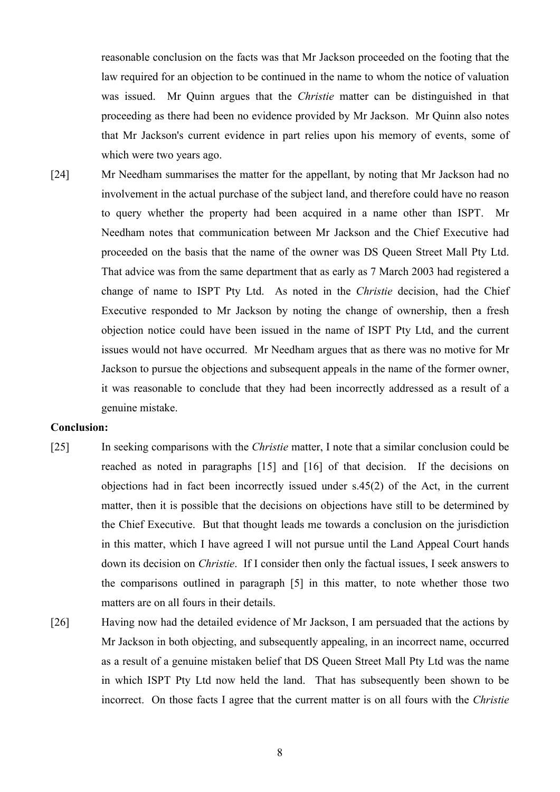reasonable conclusion on the facts was that Mr Jackson proceeded on the footing that the law required for an objection to be continued in the name to whom the notice of valuation was issued. Mr Quinn argues that the *Christie* matter can be distinguished in that proceeding as there had been no evidence provided by Mr Jackson. Mr Quinn also notes that Mr Jackson's current evidence in part relies upon his memory of events, some of which were two years ago.

[24] Mr Needham summarises the matter for the appellant, by noting that Mr Jackson had no involvement in the actual purchase of the subject land, and therefore could have no reason to query whether the property had been acquired in a name other than ISPT. Mr Needham notes that communication between Mr Jackson and the Chief Executive had proceeded on the basis that the name of the owner was DS Queen Street Mall Pty Ltd. That advice was from the same department that as early as 7 March 2003 had registered a change of name to ISPT Pty Ltd. As noted in the *Christie* decision, had the Chief Executive responded to Mr Jackson by noting the change of ownership, then a fresh objection notice could have been issued in the name of ISPT Pty Ltd, and the current issues would not have occurred. Mr Needham argues that as there was no motive for Mr Jackson to pursue the objections and subsequent appeals in the name of the former owner, it was reasonable to conclude that they had been incorrectly addressed as a result of a genuine mistake.

#### **Conclusion:**

- [25] In seeking comparisons with the *Christie* matter, I note that a similar conclusion could be reached as noted in paragraphs [15] and [16] of that decision. If the decisions on objections had in fact been incorrectly issued under s.45(2) of the Act, in the current matter, then it is possible that the decisions on objections have still to be determined by the Chief Executive. But that thought leads me towards a conclusion on the jurisdiction in this matter, which I have agreed I will not pursue until the Land Appeal Court hands down its decision on *Christie*. If I consider then only the factual issues, I seek answers to the comparisons outlined in paragraph [5] in this matter, to note whether those two matters are on all fours in their details.
- [26] Having now had the detailed evidence of Mr Jackson, I am persuaded that the actions by Mr Jackson in both objecting, and subsequently appealing, in an incorrect name, occurred as a result of a genuine mistaken belief that DS Queen Street Mall Pty Ltd was the name in which ISPT Pty Ltd now held the land. That has subsequently been shown to be incorrect. On those facts I agree that the current matter is on all fours with the *Christie*